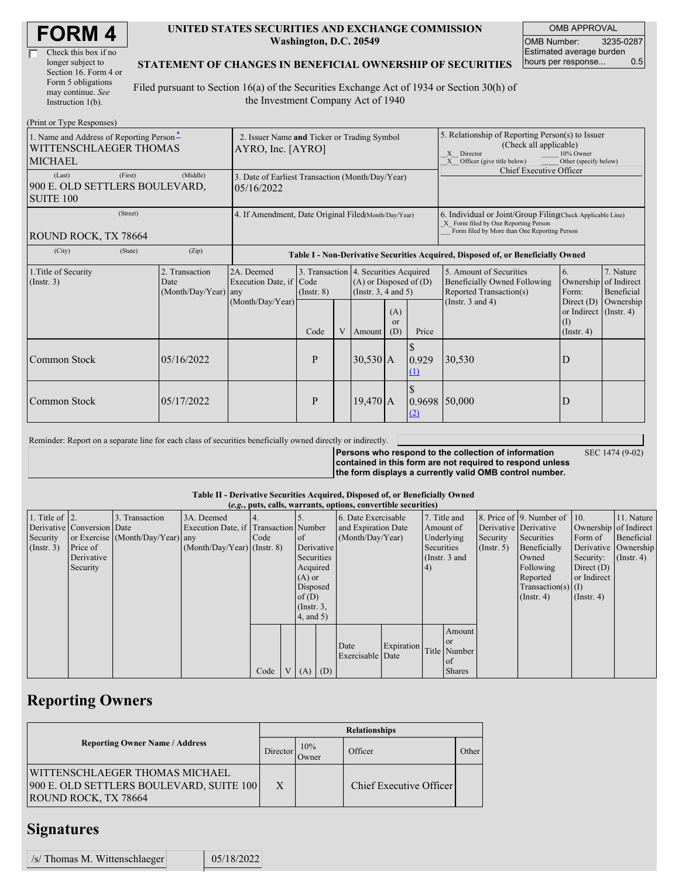| <b>FORM4</b> |
|--------------|
|--------------|

| Check this box if no  |
|-----------------------|
| longer subject to     |
| Section 16. Form 4 or |
| Form 5 obligations    |
| may continue. See     |
| Instruction $1(b)$ .  |

### **UNITED STATES SECURITIES AND EXCHANGE COMMISSION Washington, D.C. 20549**

OMB APPROVAL OMB Number: 3235-0287 Estimated average burden<br>hours per response... 0.5 hours per response...

### **STATEMENT OF CHANGES IN BENEFICIAL OWNERSHIP OF SECURITIES**

Filed pursuant to Section 16(a) of the Securities Exchange Act of 1934 or Section 30(h) of the Investment Company Act of 1940

| (Print or Type Responses)                                                            |                                                                |                                            |                                                                                  |                         |                            |                                                                                                                                        |                                                                                                                                                    |               |                                                                                                                                                              |                                                                                                     |                                                     |  |
|--------------------------------------------------------------------------------------|----------------------------------------------------------------|--------------------------------------------|----------------------------------------------------------------------------------|-------------------------|----------------------------|----------------------------------------------------------------------------------------------------------------------------------------|----------------------------------------------------------------------------------------------------------------------------------------------------|---------------|--------------------------------------------------------------------------------------------------------------------------------------------------------------|-----------------------------------------------------------------------------------------------------|-----------------------------------------------------|--|
| 1. Name and Address of Reporting Person-<br>WITTENSCHLAEGER THOMAS<br><b>MICHAEL</b> |                                                                |                                            | 2. Issuer Name and Ticker or Trading Symbol<br>AYRO, Inc. [AYRO]                 |                         |                            |                                                                                                                                        |                                                                                                                                                    |               | 5. Relationship of Reporting Person(s) to Issuer<br>(Check all applicable)<br>10% Owner<br>X Director<br>Other (specify below)<br>Officer (give title below) |                                                                                                     |                                                     |  |
| (Last)<br>900 E. OLD SETTLERS BOULEVARD,<br><b>SUITE 100</b>                         | 3. Date of Earliest Transaction (Month/Day/Year)<br>05/16/2022 |                                            |                                                                                  |                         |                            |                                                                                                                                        | Chief Executive Officer                                                                                                                            |               |                                                                                                                                                              |                                                                                                     |                                                     |  |
| ROUND ROCK, TX 78664                                                                 | 4. If Amendment, Date Original Filed Month/Day/Year)           |                                            |                                                                                  |                         |                            |                                                                                                                                        | 6. Individual or Joint/Group Filing(Check Applicable Line)<br>X Form filed by One Reporting Person<br>Form filed by More than One Reporting Person |               |                                                                                                                                                              |                                                                                                     |                                                     |  |
| (City)                                                                               | (State)                                                        | (Zip)                                      | Table I - Non-Derivative Securities Acquired, Disposed of, or Beneficially Owned |                         |                            |                                                                                                                                        |                                                                                                                                                    |               |                                                                                                                                                              |                                                                                                     |                                                     |  |
| 1. Title of Security<br>(Insert. 3)                                                  |                                                                | 2. Transaction<br>Date<br>(Month/Day/Year) | 2A. Deemed<br>Execution Date, if Code<br>any<br>(Month/Day/Year)                 | $($ Instr. $8)$<br>Code | V                          | 3. Transaction 4. Securities Acquired<br>$(A)$ or Disposed of $(D)$<br>(Instr. $3, 4$ and $5$ )<br>(A)<br>or<br>(D)<br>Price<br>Amount |                                                                                                                                                    |               | 5. Amount of Securities<br>Beneficially Owned Following<br>Reported Transaction(s)<br>(Instr. $3$ and $4$ )                                                  | 6.<br>Ownership<br>Form:<br>Direct $(D)$<br>or Indirect $($ Instr. 4 $)$<br>(I)<br>$($ Instr. 4 $)$ | 7. Nature<br>of Indirect<br>Beneficial<br>Ownership |  |
| Common Stock                                                                         |                                                                | 05/16/2022                                 |                                                                                  | P                       | $30,530$ A<br>0.929<br>(1) |                                                                                                                                        |                                                                                                                                                    | 30,530        | D                                                                                                                                                            |                                                                                                     |                                                     |  |
| Common Stock                                                                         |                                                                | 05/17/2022                                 |                                                                                  | P                       |                            | $19,470$ A                                                                                                                             |                                                                                                                                                    | 0.9698<br>(2) | 50,000                                                                                                                                                       | D                                                                                                   |                                                     |  |

| Reminder: Report on a separate line for each class of securities beneficially owned directly or indirectly. |                                                                                                                                                                              |                 |
|-------------------------------------------------------------------------------------------------------------|------------------------------------------------------------------------------------------------------------------------------------------------------------------------------|-----------------|
|                                                                                                             | Persons who respond to the collection of information<br>contained in this form are not required to respond unless<br>the form displays a currently valid OMB control number. | SEC 1474 (9-02) |

### **Table II - Derivative Securities Acquired, Disposed of, or Beneficially Owned**

|                        |                            |                                  |                                       |      |                 |     | (e.g., puts, calls, warrants, options, convertible securities) |    |              |                 |                       |                          |                       |                  |
|------------------------|----------------------------|----------------------------------|---------------------------------------|------|-----------------|-----|----------------------------------------------------------------|----|--------------|-----------------|-----------------------|--------------------------|-----------------------|------------------|
| 1. Title of $\vert$ 2. |                            | 3. Transaction                   | 3A. Deemed                            |      |                 |     | 6. Date Exercisable                                            |    | 7. Title and |                 |                       | 8. Price of 9. Number of | $\vert$ 10.           | 11. Nature       |
|                        | Derivative Conversion Date |                                  | Execution Date, if Transaction Number |      |                 |     | and Expiration Date                                            |    |              | Amount of       | Derivative Derivative |                          | Ownership of Indirect |                  |
| Security               |                            | or Exercise (Month/Day/Year) any |                                       | Code | <sub>of</sub>   |     | (Month/Day/Year)                                               |    |              | Underlying      | Security              | Securities               | Form of               | Beneficial       |
| $($ Instr. 3 $)$       | Price of                   |                                  | $(Month/Day/Year)$ (Instr. 8)         |      | Derivative      |     |                                                                |    |              | Securities      | $($ Instr. 5)         | Beneficially             | Derivative Ownership  |                  |
|                        | Derivative                 |                                  |                                       |      | Securities      |     |                                                                |    |              | (Instr. $3$ and |                       | Owned                    | Security:             | $($ Instr. 4 $)$ |
|                        | Security                   |                                  |                                       |      | Acquired        |     |                                                                | 4) |              |                 | Following             | Direct $(D)$             |                       |                  |
|                        |                            |                                  |                                       |      | $(A)$ or        |     |                                                                |    |              |                 |                       | Reported                 | or Indirect           |                  |
|                        |                            |                                  |                                       |      | Disposed        |     |                                                                |    |              |                 |                       | Transaction(s) $(I)$     |                       |                  |
|                        |                            |                                  |                                       |      | of(D)           |     |                                                                |    |              |                 |                       | $($ Instr. 4 $)$         | $($ Instr. 4 $)$      |                  |
|                        |                            |                                  |                                       |      | $($ Instr. $3,$ |     |                                                                |    |              |                 |                       |                          |                       |                  |
|                        |                            |                                  |                                       |      | $4$ , and $5$ ) |     |                                                                |    |              |                 |                       |                          |                       |                  |
|                        |                            |                                  |                                       |      |                 |     |                                                                |    |              | Amount          |                       |                          |                       |                  |
|                        |                            |                                  |                                       |      |                 |     |                                                                |    |              | <b>or</b>       |                       |                          |                       |                  |
|                        |                            |                                  |                                       |      |                 |     | Expiration<br>Date                                             |    | Title Number |                 |                       |                          |                       |                  |
|                        |                            |                                  |                                       |      |                 |     | Exercisable Date                                               |    |              | of              |                       |                          |                       |                  |
|                        |                            |                                  |                                       | Code | V(A)            | (D) |                                                                |    |              | <b>Shares</b>   |                       |                          |                       |                  |

# **Reporting Owners**

|                                                                                                           | <b>Relationships</b> |              |                         |       |  |  |  |  |
|-----------------------------------------------------------------------------------------------------------|----------------------|--------------|-------------------------|-------|--|--|--|--|
| <b>Reporting Owner Name / Address</b>                                                                     | Director             | 10%<br>Owner | Officer                 | Other |  |  |  |  |
| WITTENSCHLAEGER THOMAS MICHAEL<br>900 E. OLD SETTLERS BOULEVARD, SUITE 100<br><b>ROUND ROCK, TX 78664</b> | X                    |              | Chief Executive Officer |       |  |  |  |  |

## **Signatures**

| /s/ Thomas M. Wittenschlaeger |  | 05/18/2022 |
|-------------------------------|--|------------|
|-------------------------------|--|------------|